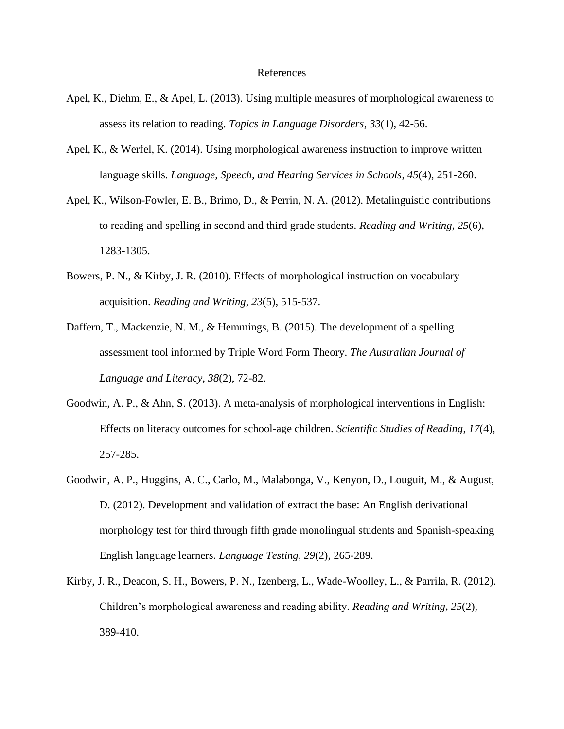## References

- Apel, K., Diehm, E., & Apel, L. (2013). Using multiple measures of morphological awareness to assess its relation to reading. *Topics in Language Disorders*, *33*(1), 42-56.
- Apel, K., & Werfel, K. (2014). Using morphological awareness instruction to improve written language skills. *Language, Speech, and Hearing Services in Schools*, *45*(4), 251-260.
- Apel, K., Wilson-Fowler, E. B., Brimo, D., & Perrin, N. A. (2012). Metalinguistic contributions to reading and spelling in second and third grade students. *Reading and Writing*, *25*(6), 1283-1305.
- Bowers, P. N., & Kirby, J. R. (2010). Effects of morphological instruction on vocabulary acquisition. *Reading and Writing*, *23*(5), 515-537.
- Daffern, T., Mackenzie, N. M., & Hemmings, B. (2015). The development of a spelling assessment tool informed by Triple Word Form Theory. *The Australian Journal of Language and Literacy*, *38*(2), 72-82.
- Goodwin, A. P., & Ahn, S. (2013). A meta-analysis of morphological interventions in English: Effects on literacy outcomes for school-age children. *Scientific Studies of Reading*, *17*(4), 257-285.
- Goodwin, A. P., Huggins, A. C., Carlo, M., Malabonga, V., Kenyon, D., Louguit, M., & August, D. (2012). Development and validation of extract the base: An English derivational morphology test for third through fifth grade monolingual students and Spanish-speaking English language learners. *Language Testing*, *29*(2), 265-289.
- Kirby, J. R., Deacon, S. H., Bowers, P. N., Izenberg, L., Wade-Woolley, L., & Parrila, R. (2012). Children's morphological awareness and reading ability. *Reading and Writing*, *25*(2), 389-410.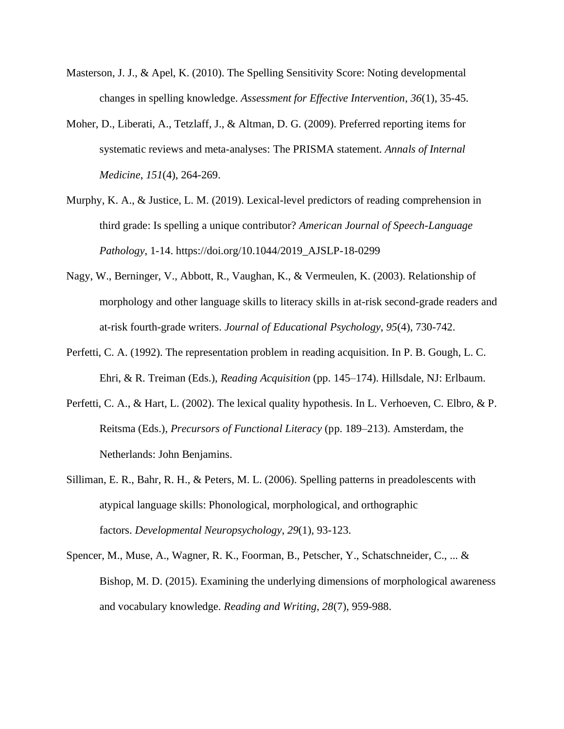- Masterson, J. J., & Apel, K. (2010). The Spelling Sensitivity Score: Noting developmental changes in spelling knowledge. *Assessment for Effective Intervention*, *36*(1), 35-45.
- Moher, D., Liberati, A., Tetzlaff, J., & Altman, D. G. (2009). Preferred reporting items for systematic reviews and meta-analyses: The PRISMA statement. *Annals of Internal Medicine*, *151*(4), 264-269.
- Murphy, K. A., & Justice, L. M. (2019). Lexical-level predictors of reading comprehension in third grade: Is spelling a unique contributor? *American Journal of Speech-Language Pathology*, 1-14. https://doi.org/10.1044/2019\_AJSLP-18-0299
- Nagy, W., Berninger, V., Abbott, R., Vaughan, K., & Vermeulen, K. (2003). Relationship of morphology and other language skills to literacy skills in at-risk second-grade readers and at-risk fourth-grade writers. *Journal of Educational Psychology*, *95*(4), 730-742.
- Perfetti, C. A. (1992). The representation problem in reading acquisition. In P. B. Gough, L. C. Ehri, & R. Treiman (Eds.), *Reading Acquisition* (pp. 145–174). Hillsdale, NJ: Erlbaum.
- Perfetti, C. A., & Hart, L. (2002). The lexical quality hypothesis. In L. Verhoeven, C. Elbro, & P. Reitsma (Eds.), *Precursors of Functional Literacy* (pp. 189–213). Amsterdam, the Netherlands: John Benjamins.
- Silliman, E. R., Bahr, R. H., & Peters, M. L. (2006). Spelling patterns in preadolescents with atypical language skills: Phonological, morphological, and orthographic factors. *Developmental Neuropsychology*, *29*(1), 93-123.
- Spencer, M., Muse, A., Wagner, R. K., Foorman, B., Petscher, Y., Schatschneider, C., ... & Bishop, M. D. (2015). Examining the underlying dimensions of morphological awareness and vocabulary knowledge. *Reading and Writing*, *28*(7), 959-988.